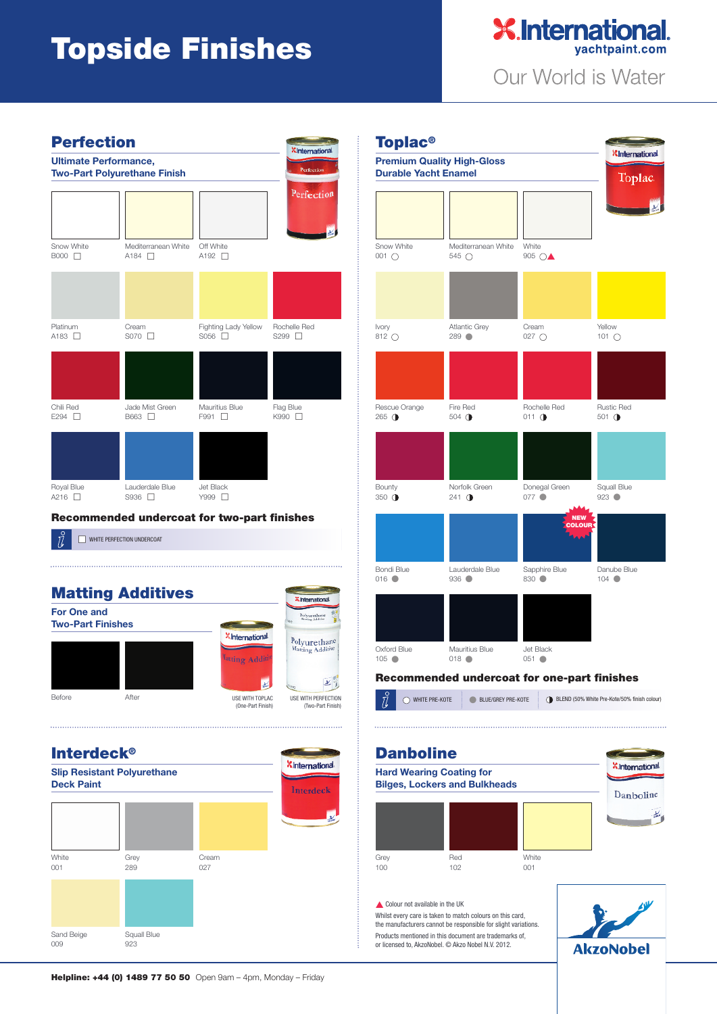## **Topside Finishes**





## **Recommended undercoat for two-part finishes**

WHITE PERFECTION UNDERCOAT







Whilst every care is taken to match colours on this card, the manufacturers cannot be responsible for slight variations. Products mentioned in this document are trademarks of, or licensed to, AkzoNobel. © Akzo Nobel N.V. 2012.